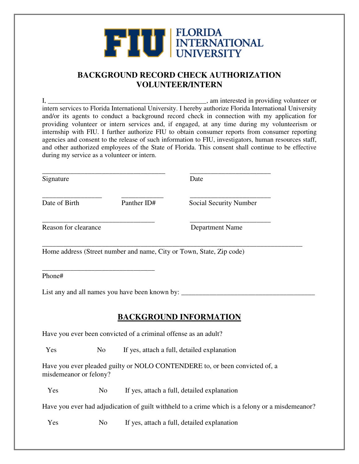## **THE TELEVISION SECTION ALL**

## **BACKGROUND RECORD CHECK AUTHORIZATION VOLUNTEER/INTERN**

I, \_\_\_\_\_\_\_\_\_\_\_\_\_\_\_\_\_\_\_\_\_\_\_\_\_\_\_\_\_\_\_\_\_\_\_\_\_\_\_\_\_\_\_\_\_\_\_, am interested in providing volunteer or intern services to Florida International University. I hereby authorize Florida International University and/or its agents to conduct a background record check in connection with my application for providing volunteer or intern services and, if engaged, at any time during my volunteerism or internship with FIU. I further authorize FIU to obtain consumer reports from consumer reporting agencies and consent to the release of such information to FIU, investigators, human resources staff, and other authorized employees of the State of Florida. This consent shall continue to be effective during my service as a volunteer or intern.

| Signature                   |             | Date                   |
|-----------------------------|-------------|------------------------|
| Date of Birth               | Panther ID# | Social Security Number |
| <b>Reason for clearance</b> |             | <b>Department Name</b> |

\_\_\_\_\_\_\_\_\_\_\_\_\_\_\_\_\_\_\_\_\_\_\_\_\_\_\_\_\_\_\_\_\_\_\_\_\_\_\_\_\_\_\_\_\_\_\_\_\_\_\_\_\_\_\_\_\_\_\_\_\_\_\_\_\_\_\_\_\_\_\_\_\_\_ Home address (Street number and name, City or Town, State, Zip code)

\_\_\_\_\_\_\_\_\_\_\_\_\_\_\_\_\_\_\_\_\_\_\_\_\_\_\_\_\_\_\_\_ Phone#

List any and all names you have been known by: \_\_\_\_\_\_\_\_\_\_\_\_\_\_\_\_\_\_\_\_\_\_\_\_\_\_\_\_\_\_\_\_\_\_

## **BACKGROUND INFORMATION**

Have you ever been convicted of a criminal offense as an adult?

Yes No If yes, attach a full, detailed explanation

Have you ever pleaded guilty or NOLO CONTENDERE to, or been convicted of, a misdemeanor or felony?

Yes No If yes, attach a full, detailed explanation

Have you ever had adjudication of guilt withheld to a crime which is a felony or a misdemeanor?

Yes No If yes, attach a full, detailed explanation